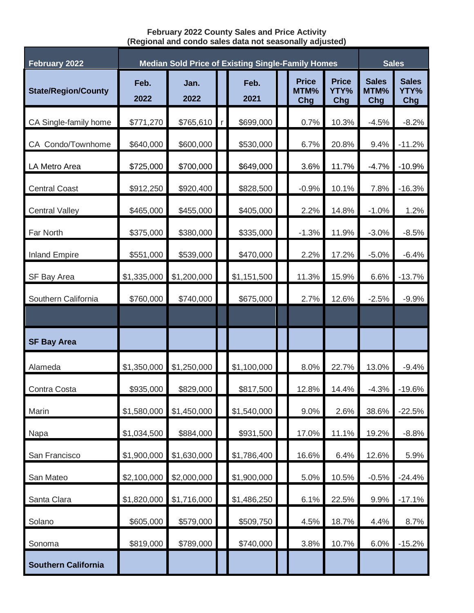## **February 2022 County Sales and Price Activity (Regional and condo sales data not seasonally adjusted)**

| <b>February 2022</b>       | <b>Median Sold Price of Existing Single-Family Homes</b> |              |             |              |  |                             |                             |                             | <b>Sales</b>                |  |
|----------------------------|----------------------------------------------------------|--------------|-------------|--------------|--|-----------------------------|-----------------------------|-----------------------------|-----------------------------|--|
| <b>State/Region/County</b> | Feb.<br>2022                                             | Jan.<br>2022 |             | Feb.<br>2021 |  | <b>Price</b><br>MTM%<br>Chg | <b>Price</b><br>YTY%<br>Chg | <b>Sales</b><br>MTM%<br>Chg | <b>Sales</b><br>YTY%<br>Chg |  |
| CA Single-family home      | \$771,270                                                | \$765,610    | $\mathsf r$ | \$699,000    |  | 0.7%                        | 10.3%                       | $-4.5%$                     | $-8.2%$                     |  |
| CA Condo/Townhome          | \$640,000                                                | \$600,000    |             | \$530,000    |  | 6.7%                        | 20.8%                       | 9.4%                        | $-11.2%$                    |  |
| LA Metro Area              | \$725,000                                                | \$700,000    |             | \$649,000    |  | 3.6%                        | 11.7%                       | $-4.7%$                     | $-10.9%$                    |  |
| <b>Central Coast</b>       | \$912,250                                                | \$920,400    |             | \$828,500    |  | $-0.9%$                     | 10.1%                       | 7.8%                        | $-16.3%$                    |  |
| <b>Central Valley</b>      | \$465,000                                                | \$455,000    |             | \$405,000    |  | 2.2%                        | 14.8%                       | $-1.0%$                     | 1.2%                        |  |
| Far North                  | \$375,000                                                | \$380,000    |             | \$335,000    |  | $-1.3%$                     | 11.9%                       | $-3.0%$                     | $-8.5%$                     |  |
| <b>Inland Empire</b>       | \$551,000                                                | \$539,000    |             | \$470,000    |  | 2.2%                        | 17.2%                       | $-5.0%$                     | $-6.4%$                     |  |
| SF Bay Area                | \$1,335,000                                              | \$1,200,000  |             | \$1,151,500  |  | 11.3%                       | 15.9%                       | 6.6%                        | $-13.7%$                    |  |
| Southern California        | \$760,000                                                | \$740,000    |             | \$675,000    |  | 2.7%                        | 12.6%                       | $-2.5%$                     | $-9.9%$                     |  |
|                            |                                                          |              |             |              |  |                             |                             |                             |                             |  |
| <b>SF Bay Area</b>         |                                                          |              |             |              |  |                             |                             |                             |                             |  |
| Alameda                    | \$1,350,000                                              | \$1,250,000  |             | \$1,100,000  |  | 8.0%                        | 22.7%                       | 13.0%                       | $-9.4%$                     |  |
| Contra Costa               | \$935,000                                                | \$829,000    |             | \$817,500    |  | 12.8%                       | 14.4%                       | $-4.3%$                     | $-19.6%$                    |  |
| Marin                      | \$1,580,000                                              | \$1,450,000  |             | \$1,540,000  |  | 9.0%                        | 2.6%                        | 38.6%                       | $-22.5%$                    |  |
| Napa                       | \$1,034,500                                              | \$884,000    |             | \$931,500    |  | 17.0%                       | 11.1%                       | 19.2%                       | $-8.8%$                     |  |
| San Francisco              | \$1,900,000                                              | \$1,630,000  |             | \$1,786,400  |  | 16.6%                       | 6.4%                        | 12.6%                       | 5.9%                        |  |
| San Mateo                  | \$2,100,000                                              | \$2,000,000  |             | \$1,900,000  |  | 5.0%                        | 10.5%                       | $-0.5%$                     | $-24.4%$                    |  |
| Santa Clara                | \$1,820,000                                              | \$1,716,000  |             | \$1,486,250  |  | 6.1%                        | 22.5%                       | 9.9%                        | $-17.1%$                    |  |
| Solano                     | \$605,000                                                | \$579,000    |             | \$509,750    |  | 4.5%                        | 18.7%                       | 4.4%                        | 8.7%                        |  |
| Sonoma                     | \$819,000                                                | \$789,000    |             | \$740,000    |  | 3.8%                        | 10.7%                       | 6.0%                        | $-15.2%$                    |  |
| <b>Southern California</b> |                                                          |              |             |              |  |                             |                             |                             |                             |  |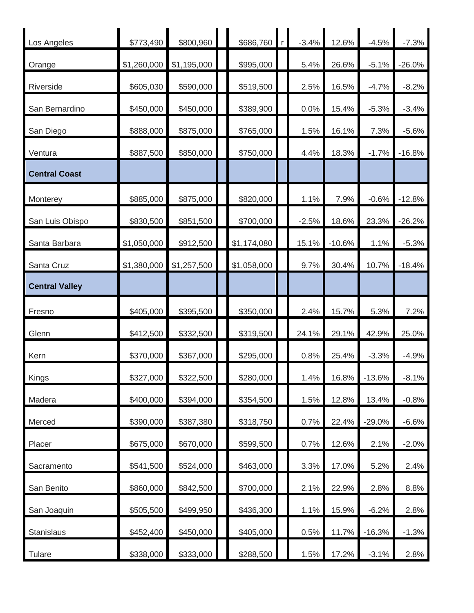| Los Angeles           | \$773,490   | \$800,960   | \$686,760   | $-3.4%$ | 12.6%    | $-4.5%$  | $-7.3%$  |
|-----------------------|-------------|-------------|-------------|---------|----------|----------|----------|
| Orange                | \$1,260,000 | \$1,195,000 | \$995,000   | 5.4%    | 26.6%    | $-5.1%$  | $-26.0%$ |
| Riverside             | \$605,030   | \$590,000   | \$519,500   | 2.5%    | 16.5%    | $-4.7%$  | $-8.2%$  |
| San Bernardino        | \$450,000   | \$450,000   | \$389,900   | 0.0%    | 15.4%    | $-5.3%$  | $-3.4%$  |
| San Diego             | \$888,000   | \$875,000   | \$765,000   | 1.5%    | 16.1%    | 7.3%     | $-5.6%$  |
| Ventura               | \$887,500   | \$850,000   | \$750,000   | 4.4%    | 18.3%    | $-1.7%$  | $-16.8%$ |
| <b>Central Coast</b>  |             |             |             |         |          |          |          |
| Monterey              | \$885,000   | \$875,000   | \$820,000   | 1.1%    | 7.9%     | $-0.6%$  | $-12.8%$ |
| San Luis Obispo       | \$830,500   | \$851,500   | \$700,000   | $-2.5%$ | 18.6%    | 23.3%    | $-26.2%$ |
| Santa Barbara         | \$1,050,000 | \$912,500   | \$1,174,080 | 15.1%   | $-10.6%$ | 1.1%     | $-5.3%$  |
| Santa Cruz            | \$1,380,000 | \$1,257,500 | \$1,058,000 | 9.7%    | 30.4%    | 10.7%    | $-18.4%$ |
| <b>Central Valley</b> |             |             |             |         |          |          |          |
| Fresno                | \$405,000   | \$395,500   | \$350,000   | 2.4%    | 15.7%    | 5.3%     | 7.2%     |
| Glenn                 |             |             |             | 24.1%   |          |          |          |
|                       | \$412,500   | \$332,500   | \$319,500   |         | 29.1%    | 42.9%    | 25.0%    |
| Kern                  | \$370,000   | \$367,000   | \$295,000   | 0.8%    | 25.4%    | $-3.3%$  | $-4.9%$  |
| Kings                 | \$327,000   | \$322,500   | \$280,000   | 1.4%    | 16.8%    | $-13.6%$ | $-8.1%$  |
| Madera                | \$400,000   | \$394,000   | \$354,500   | 1.5%    | 12.8%    | 13.4%    | $-0.8%$  |
| Merced                | \$390,000   | \$387,380   | \$318,750   | 0.7%    | 22.4%    | $-29.0%$ | $-6.6%$  |
| Placer                | \$675,000   | \$670,000   | \$599,500   | 0.7%    | 12.6%    | 2.1%     | $-2.0%$  |
| Sacramento            | \$541,500   | \$524,000   | \$463,000   | 3.3%    | 17.0%    | 5.2%     | 2.4%     |
| San Benito            | \$860,000   | \$842,500   | \$700,000   | 2.1%    | 22.9%    | 2.8%     | 8.8%     |
| San Joaquin           | \$505,500   | \$499,950   | \$436,300   | 1.1%    | 15.9%    | $-6.2%$  | 2.8%     |
| Stanislaus            | \$452,400   | \$450,000   | \$405,000   | 0.5%    | 11.7%    | $-16.3%$ | $-1.3%$  |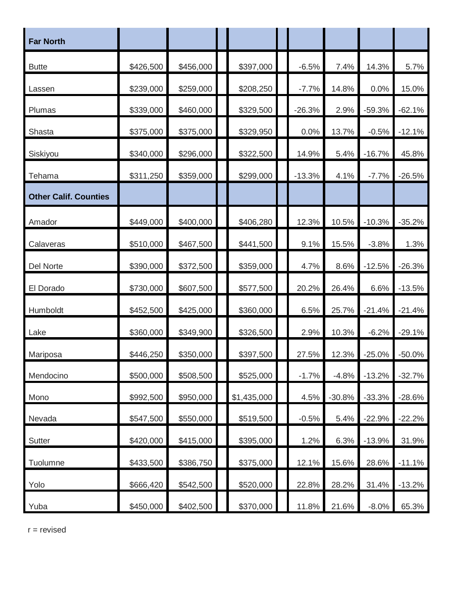| <b>Far North</b>             |           |           |             |          |          |          |          |
|------------------------------|-----------|-----------|-------------|----------|----------|----------|----------|
| <b>Butte</b>                 | \$426,500 | \$456,000 | \$397,000   | $-6.5%$  | 7.4%     | 14.3%    | 5.7%     |
| Lassen                       | \$239,000 | \$259,000 | \$208,250   | $-7.7%$  | 14.8%    | 0.0%     | 15.0%    |
| Plumas                       | \$339,000 | \$460,000 | \$329,500   | $-26.3%$ | 2.9%     | $-59.3%$ | $-62.1%$ |
| Shasta                       | \$375,000 | \$375,000 | \$329,950   | 0.0%     | 13.7%    | $-0.5%$  | $-12.1%$ |
| Siskiyou                     | \$340,000 | \$296,000 | \$322,500   | 14.9%    | 5.4%     | $-16.7%$ | 45.8%    |
| Tehama                       | \$311,250 | \$359,000 | \$299,000   | $-13.3%$ | 4.1%     | $-7.7%$  | $-26.5%$ |
| <b>Other Calif. Counties</b> |           |           |             |          |          |          |          |
| Amador                       | \$449,000 | \$400,000 | \$406,280   | 12.3%    | 10.5%    | $-10.3%$ | $-35.2%$ |
| Calaveras                    | \$510,000 | \$467,500 | \$441,500   | 9.1%     | 15.5%    | $-3.8%$  | 1.3%     |
| Del Norte                    | \$390,000 | \$372,500 | \$359,000   | 4.7%     | 8.6%     | $-12.5%$ | $-26.3%$ |
| El Dorado                    | \$730,000 | \$607,500 | \$577,500   | 20.2%    | 26.4%    | 6.6%     | $-13.5%$ |
| Humboldt                     | \$452,500 | \$425,000 | \$360,000   | 6.5%     | 25.7%    | $-21.4%$ | $-21.4%$ |
| Lake                         | \$360,000 | \$349,900 | \$326,500   | 2.9%     | 10.3%    | $-6.2%$  | $-29.1%$ |
| Mariposa                     | \$446,250 | \$350,000 | \$397,500   | 27.5%    | 12.3%    | $-25.0%$ | $-50.0%$ |
| Mendocino                    | \$500,000 | \$508,500 | \$525,000   | $-1.7%$  | $-4.8%$  | $-13.2%$ | $-32.7%$ |
| Mono                         | \$992,500 | \$950,000 | \$1,435,000 | 4.5%     | $-30.8%$ | $-33.3%$ | $-28.6%$ |
| Nevada                       | \$547,500 | \$550,000 | \$519,500   | $-0.5%$  | 5.4%     | $-22.9%$ | $-22.2%$ |
| Sutter                       | \$420,000 | \$415,000 | \$395,000   | 1.2%     | 6.3%     | $-13.9%$ | 31.9%    |
| Tuolumne                     | \$433,500 | \$386,750 | \$375,000   | 12.1%    | 15.6%    | 28.6%    | $-11.1%$ |
| Yolo                         | \$666,420 | \$542,500 | \$520,000   | 22.8%    | 28.2%    | 31.4%    | $-13.2%$ |
| Yuba                         | \$450,000 | \$402,500 | \$370,000   | 11.8%    | 21.6%    | $-8.0\%$ | 65.3%    |

r = revised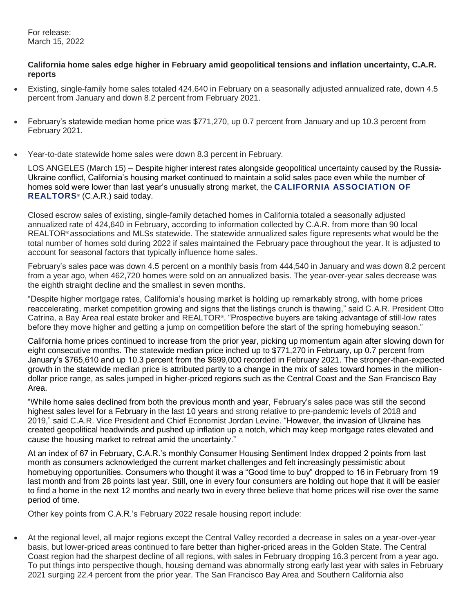For release: March 15, 2022

## **California home sales edge higher in February amid geopolitical tensions and inflation uncertainty, C.A.R. reports**

- Existing, single-family home sales totaled 424,640 in February on a seasonally adjusted annualized rate, down 4.5 percent from January and down 8.2 percent from February 2021.
- February's statewide median home price was \$771,270, up 0.7 percent from January and up 10.3 percent from February 2021.
- Year-to-date statewide home sales were down 8.3 percent in February.

LOS ANGELES (March 15) – Despite higher interest rates alongside geopolitical uncertainty caused by the Russia-Ukraine conflict, California's housing market continued to maintain a solid sales pace even while the number of homes sold were lower than last year's unusually strong market, the **[CALIFORNIA ASSOCIATION OF](http://www.car.org/)  [REALTORS](http://www.car.org/)**® (C.A.R.) said today.

Closed escrow sales of existing, single-family detached homes in California totaled a seasonally adjusted annualized rate of 424,640 in February, according to information collected by C.A.R. from more than 90 local REALTOR® associations and MLSs statewide. The statewide annualized sales figure represents what would be the total number of homes sold during 2022 if sales maintained the February pace throughout the year. It is adjusted to account for seasonal factors that typically influence home sales.

February's sales pace was down 4.5 percent on a monthly basis from 444,540 in January and was down 8.2 percent from a year ago, when 462,720 homes were sold on an annualized basis. The year-over-year sales decrease was the eighth straight decline and the smallest in seven months.

"Despite higher mortgage rates, California's housing market is holding up remarkably strong, with home prices reaccelerating, market competition growing and signs that the listings crunch is thawing," said C.A.R. President Otto Catrina, a Bay Area real estate broker and REALTOR® . "Prospective buyers are taking advantage of still-low rates before they move higher and getting a jump on competition before the start of the spring homebuying season."

California home prices continued to increase from the prior year, picking up momentum again after slowing down for eight consecutive months. The statewide median price inched up to \$771,270 in February, up 0.7 percent from January's \$765,610 and up 10.3 percent from the \$699,000 recorded in February 2021. The stronger-than-expected growth in the statewide median price is attributed partly to a change in the mix of sales toward homes in the milliondollar price range, as sales jumped in higher-priced regions such as the Central Coast and the San Francisco Bay Area.

"While home sales declined from both the previous month and year, February's sales pace was still the second highest sales level for a February in the last 10 years and strong relative to pre-pandemic levels of 2018 and 2019," said C.A.R. Vice President and Chief Economist Jordan Levine. "However, the invasion of Ukraine has created geopolitical headwinds and pushed up inflation up a notch, which may keep mortgage rates elevated and cause the housing market to retreat amid the uncertainty."

At an index of 67 in February, C.A.R.'s monthly Consumer Housing Sentiment Index dropped 2 points from last month as consumers acknowledged the current market challenges and felt increasingly pessimistic about homebuying opportunities. Consumers who thought it was a "Good time to buy" dropped to 16 in February from 19 last month and from 28 points last year. Still, one in every four consumers are holding out hope that it will be easier to find a home in the next 12 months and nearly two in every three believe that home prices will rise over the same period of time.

Other key points from C.A.R.'s February 2022 resale housing report include:

 At the regional level, all major regions except the Central Valley recorded a decrease in sales on a year-over-year basis, but lower-priced areas continued to fare better than higher-priced areas in the Golden State. The Central Coast region had the sharpest decline of all regions, with sales in February dropping 16.3 percent from a year ago. To put things into perspective though, housing demand was abnormally strong early last year with sales in February 2021 surging 22.4 percent from the prior year. The San Francisco Bay Area and Southern California also